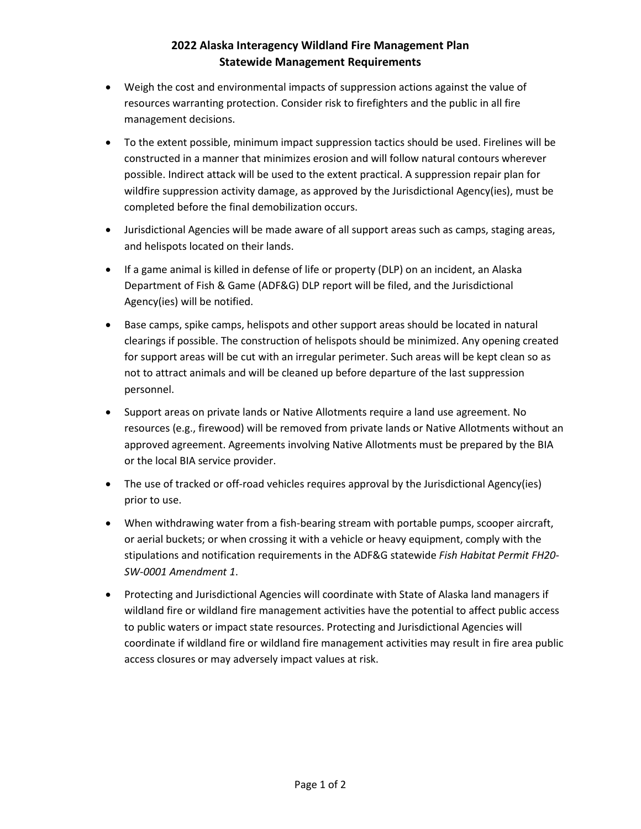## **2022 Alaska Interagency Wildland Fire Management Plan Statewide Management Requirements**

- Weigh the cost and environmental impacts of suppression actions against the value of resources warranting protection. Consider risk to firefighters and the public in all fire management decisions.
- To the extent possible, minimum impact suppression tactics should be used. Firelines will be constructed in a manner that minimizes erosion and will follow natural contours wherever possible. Indirect attack will be used to the extent practical. A suppression repair plan for wildfire suppression activity damage, as approved by the Jurisdictional Agency(ies), must be completed before the final demobilization occurs.
- Jurisdictional Agencies will be made aware of all support areas such as camps, staging areas, and helispots located on their lands.
- If a game animal is killed in defense of life or property (DLP) on an incident, an Alaska Department of Fish & Game (ADF&G) DLP report will be filed, and the Jurisdictional Agency(ies) will be notified.
- Base camps, spike camps, helispots and other support areas should be located in natural clearings if possible. The construction of helispots should be minimized. Any opening created for support areas will be cut with an irregular perimeter. Such areas will be kept clean so as not to attract animals and will be cleaned up before departure of the last suppression personnel.
- Support areas on private lands or Native Allotments require a land use agreement. No resources (e.g., firewood) will be removed from private lands or Native Allotments without an approved agreement. Agreements involving Native Allotments must be prepared by the BIA or the local BIA service provider.
- The use of tracked or off-road vehicles requires approval by the Jurisdictional Agency(ies) prior to use.
- When withdrawing water from a fish-bearing stream with portable pumps, scooper aircraft, or aerial buckets; or when crossing it with a vehicle or heavy equipment, comply with the stipulations and notification requirements in the ADF&G statewide *Fish Habitat Permit FH20- SW-0001 Amendment 1*.
- Protecting and Jurisdictional Agencies will coordinate with State of Alaska land managers if wildland fire or wildland fire management activities have the potential to affect public access to public waters or impact state resources. Protecting and Jurisdictional Agencies will coordinate if wildland fire or wildland fire management activities may result in fire area public access closures or may adversely impact values at risk.